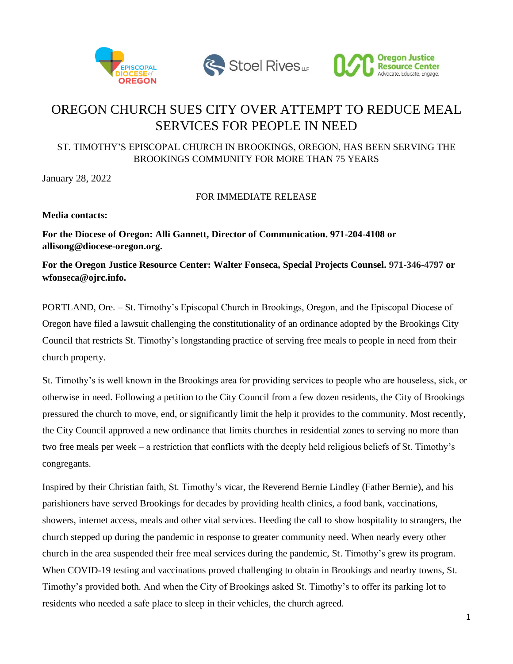





## OREGON CHURCH SUES CITY OVER ATTEMPT TO REDUCE MEAL SERVICES FOR PEOPLE IN NEED

## ST. TIMOTHY'S EPISCOPAL CHURCH IN BROOKINGS, OREGON, HAS BEEN SERVING THE BROOKINGS COMMUNITY FOR MORE THAN 75 YEARS

January 28, 2022

## FOR IMMEDIATE RELEASE

**Media contacts:**

**For the Diocese of Oregon: Alli Gannett, Director of Communication. 971-204-4108 or allisong@diocese-oregon.org.**

**For the Oregon Justice Resource Center: Walter Fonseca, Special Projects Counsel. 971-346-4797 or wfonseca@ojrc.info.**

PORTLAND, Ore. – St. Timothy's Episcopal Church in Brookings, Oregon, and the Episcopal Diocese of Oregon have filed a lawsuit challenging the constitutionality of an ordinance adopted by the Brookings City Council that restricts St. Timothy's longstanding practice of serving free meals to people in need from their church property.

St. Timothy's is well known in the Brookings area for providing services to people who are houseless, sick, or otherwise in need. Following a petition to the City Council from a few dozen residents, the City of Brookings pressured the church to move, end, or significantly limit the help it provides to the community. Most recently, the City Council approved a new ordinance that limits churches in residential zones to serving no more than two free meals per week – a restriction that conflicts with the deeply held religious beliefs of St. Timothy's congregants.

Inspired by their Christian faith, St. Timothy's vicar, the Reverend Bernie Lindley (Father Bernie), and his parishioners have served Brookings for decades by providing health clinics, a food bank, vaccinations, showers, internet access, meals and other vital services. Heeding the call to show hospitality to strangers, the church stepped up during the pandemic in response to greater community need. When nearly every other church in the area suspended their free meal services during the pandemic, St. Timothy's grew its program. When COVID-19 testing and vaccinations proved challenging to obtain in Brookings and nearby towns, St. Timothy's provided both. And when the City of Brookings asked St. Timothy's to offer its parking lot to residents who needed a safe place to sleep in their vehicles, the church agreed.